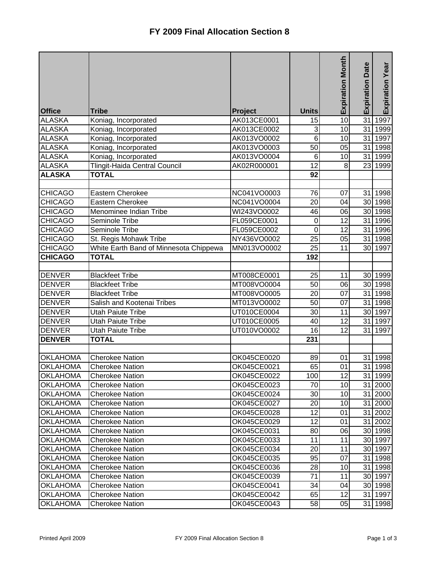|                 |                                        |                |                 | <b>Expiration Month</b> | Date            | Expiration Year      |
|-----------------|----------------------------------------|----------------|-----------------|-------------------------|-----------------|----------------------|
|                 |                                        |                |                 |                         | Expiration      |                      |
|                 |                                        |                |                 |                         |                 |                      |
| <b>Office</b>   | <b>Tribe</b>                           | <b>Project</b> | <b>Units</b>    |                         |                 |                      |
| <b>ALASKA</b>   | Koniag, Incorporated                   | AK013CE0001    | 15              | $\overline{10}$         | $\overline{31}$ | 1997                 |
| <b>ALASKA</b>   | Koniag, Incorporated                   | AK013CE0002    | 3               | 10                      |                 | $\overline{31}$ 1999 |
| <b>ALASKA</b>   | Koniag, Incorporated                   | AK013VO0002    | 6               | 10                      |                 | 31 1997              |
| <b>ALASKA</b>   | Koniag, Incorporated                   | AK013VO0003    | 50              | 05                      |                 | 31 1998              |
| <b>ALASKA</b>   | Koniag, Incorporated                   | AK013VO0004    | $6\phantom{1}6$ | 10                      |                 | 31 1999              |
| <b>ALASKA</b>   | Tlingit-Haida Central Council          | AK02R000001    | 12              | 8                       |                 | 23 1999              |
| <b>ALASKA</b>   | <b>TOTAL</b>                           |                | 92              |                         |                 |                      |
|                 |                                        |                |                 |                         |                 |                      |
| <b>CHICAGO</b>  | Eastern Cherokee                       | NC041VO0003    | 76              | 07                      |                 | 31 1998              |
| <b>CHICAGO</b>  | Eastern Cherokee                       | NC041VO0004    | 20              | 04                      |                 | 30 1998              |
| <b>CHICAGO</b>  | Menominee Indian Tribe                 | WI243VO0002    | 46              | 06                      |                 | 30 1998              |
| <b>CHICAGO</b>  | Seminole Tribe                         | FL059CE0001    | $\pmb{0}$       | 12                      |                 | 31 1996              |
| <b>CHICAGO</b>  | Seminole Tribe                         | FL059CE0002    | $\mathbf 0$     | 12                      |                 | 31 1996              |
| <b>CHICAGO</b>  | St. Regis Mohawk Tribe                 | NY436VO0002    | 25              | 05                      |                 | 31 1998              |
| <b>CHICAGO</b>  | White Earth Band of Minnesota Chippewa | MN013VO0002    | 25              | 11                      |                 | 30 1997              |
| <b>CHICAGO</b>  | <b>TOTAL</b>                           |                | 192             |                         |                 |                      |
|                 |                                        |                |                 |                         |                 |                      |
| <b>DENVER</b>   | <b>Blackfeet Tribe</b>                 | MT008CE0001    | 25              | 11                      |                 | 30 1999              |
| <b>DENVER</b>   | <b>Blackfeet Tribe</b>                 | MT008VO0004    | 50              | 06                      |                 | 30 1998              |
| <b>DENVER</b>   | <b>Blackfeet Tribe</b>                 | MT008VO0005    | 20              | 07                      |                 | 31 1998              |
| <b>DENVER</b>   | Salish and Kootenai Tribes             | MT013VO0002    | 50              | 07                      |                 | 31 1998              |
| <b>DENVER</b>   | <b>Utah Paiute Tribe</b>               | UT010CE0004    | 30              | 11                      |                 | 30 1997              |
| <b>DENVER</b>   | <b>Utah Paiute Tribe</b>               | UT010CE0005    | 40              | 12                      |                 | 31 1997              |
| <b>DENVER</b>   | <b>Utah Paiute Tribe</b>               | UT010VO0002    | 16              | 12                      |                 | $31$ 1997            |
| <b>DENVER</b>   | <b>TOTAL</b>                           |                | 231             |                         |                 |                      |
|                 |                                        |                |                 |                         |                 |                      |
| <b>OKLAHOMA</b> | <b>Cherokee Nation</b>                 | OK045CE0020    | 89              | 01                      |                 | 31 1998              |
| <b>OKLAHOMA</b> | <b>Cherokee Nation</b>                 | OK045CE0021    | 65              | 01                      |                 | 31 1998              |
| <b>OKLAHOMA</b> | <b>Cherokee Nation</b>                 | OK045CE0022    | 100             | $\overline{12}$         |                 | 31 1999              |
| <b>OKLAHOMA</b> | <b>Cherokee Nation</b>                 | OK045CE0023    | 70              | 10                      |                 | 31 2000              |
| <b>OKLAHOMA</b> | <b>Cherokee Nation</b>                 | OK045CE0024    | 30              | 10                      |                 | 31 2000              |
| <b>OKLAHOMA</b> | <b>Cherokee Nation</b>                 | OK045CE0027    | 20              | 10                      |                 | 31 2000              |
| <b>OKLAHOMA</b> | <b>Cherokee Nation</b>                 | OK045CE0028    | 12              | 01                      |                 | 31 2002              |
| <b>OKLAHOMA</b> | <b>Cherokee Nation</b>                 | OK045CE0029    | 12              | 01                      |                 | 31 2002              |
| <b>OKLAHOMA</b> | <b>Cherokee Nation</b>                 | OK045CE0031    | 80              | 06                      |                 | 30 1998              |
| <b>OKLAHOMA</b> | <b>Cherokee Nation</b>                 | OK045CE0033    | 11              | 11                      |                 | 30 1997              |
| <b>OKLAHOMA</b> | <b>Cherokee Nation</b>                 | OK045CE0034    | 20              | 11                      |                 | 30 1997              |
| <b>OKLAHOMA</b> | <b>Cherokee Nation</b>                 | OK045CE0035    | 95              | 07                      |                 | 31 1998              |
| <b>OKLAHOMA</b> | <b>Cherokee Nation</b>                 | OK045CE0036    | 28              | 10                      |                 | 31 1998              |
| <b>OKLAHOMA</b> | <b>Cherokee Nation</b>                 | OK045CE0039    | 71              | 11                      |                 | 30 1997              |
| <b>OKLAHOMA</b> | <b>Cherokee Nation</b>                 | OK045CE0041    | 34              | 04                      |                 | 30 1998              |
| <b>OKLAHOMA</b> | <b>Cherokee Nation</b>                 | OK045CE0042    | 65              | 12                      |                 | 31 1997              |
| <b>OKLAHOMA</b> | Cherokee Nation                        | OK045CE0043    | 58              | 05                      |                 | 31 1998              |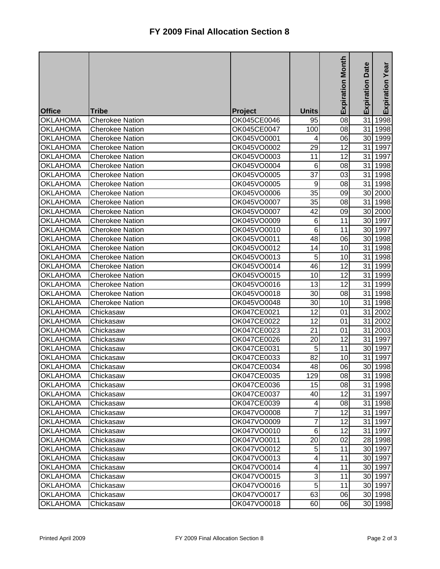|                 |                        |             |                           | <b>Expiration Month</b> | Date       | Expiration Year |
|-----------------|------------------------|-------------|---------------------------|-------------------------|------------|-----------------|
|                 |                        |             |                           |                         | Expiration |                 |
|                 |                        |             |                           |                         |            |                 |
| <b>Office</b>   | <b>Tribe</b>           | Project     | <b>Units</b>              |                         |            |                 |
| <b>OKLAHOMA</b> | <b>Cherokee Nation</b> | OK045CE0046 | 95                        | 08                      | 31         | 1998            |
| <b>OKLAHOMA</b> | <b>Cherokee Nation</b> | OK045CE0047 | 100                       | 08                      |            | 31 1998         |
| <b>OKLAHOMA</b> | <b>Cherokee Nation</b> | OK045VO0001 | 4                         | 06                      |            | 30 1999         |
| <b>OKLAHOMA</b> | <b>Cherokee Nation</b> | OK045VO0002 | 29                        | 12                      | 31         | 1997            |
| <b>OKLAHOMA</b> | <b>Cherokee Nation</b> | OK045VO0003 | 11                        | 12                      |            | 31 1997         |
| <b>OKLAHOMA</b> | <b>Cherokee Nation</b> | OK045VO0004 | 6                         | 08                      |            | 31 1998         |
| <b>OKLAHOMA</b> | <b>Cherokee Nation</b> | OK045VO0005 | 37                        | 03                      |            | 31 1998         |
| <b>OKLAHOMA</b> | <b>Cherokee Nation</b> | OK045VO0005 | 9                         | 08                      |            | 31 1998         |
| <b>OKLAHOMA</b> | <b>Cherokee Nation</b> | OK045VO0006 | 35                        | 09                      |            | 30 2000         |
| <b>OKLAHOMA</b> | <b>Cherokee Nation</b> | OK045VO0007 | 35                        | 08                      |            | 31 1998         |
| <b>OKLAHOMA</b> | <b>Cherokee Nation</b> | OK045VO0007 | 42                        | 09                      |            | 30 2000         |
| <b>OKLAHOMA</b> | <b>Cherokee Nation</b> | OK045VO0009 | 6                         | 11                      |            | 30 1997         |
| <b>OKLAHOMA</b> | <b>Cherokee Nation</b> | OK045VO0010 | 6                         | 11                      |            | 30 1997         |
| <b>OKLAHOMA</b> | <b>Cherokee Nation</b> | OK045VO0011 | 48                        | 06                      |            | 30 1998         |
| <b>OKLAHOMA</b> | <b>Cherokee Nation</b> | OK045VO0012 | 14                        | 10                      |            | 31 1998         |
| <b>OKLAHOMA</b> | <b>Cherokee Nation</b> | OK045VO0013 | 5                         | 10                      |            | 31 1998         |
| <b>OKLAHOMA</b> | <b>Cherokee Nation</b> | OK045VO0014 | 46                        | 12                      |            | 31 1999         |
| <b>OKLAHOMA</b> | <b>Cherokee Nation</b> | OK045VO0015 | 10                        | 12                      |            | 31 1999         |
| <b>OKLAHOMA</b> | <b>Cherokee Nation</b> | OK045VO0016 | 13                        | 12                      | 31         | 1999            |
| <b>OKLAHOMA</b> | <b>Cherokee Nation</b> | OK045VO0018 | 30                        | 08                      | 31         | 1998            |
| <b>OKLAHOMA</b> | <b>Cherokee Nation</b> | OK045VO0048 | 30                        | 10                      | 31         | 1998            |
| <b>OKLAHOMA</b> | Chickasaw              | OK047CE0021 | 12                        | 01                      | 31         | 2002            |
| <b>OKLAHOMA</b> | Chickasaw              | OK047CE0022 | 12                        | 01                      |            | 31 2002         |
| <b>OKLAHOMA</b> | Chickasaw              | OK047CE0023 | 21                        | 01                      |            | 31 2003         |
| <b>OKLAHOMA</b> | Chickasaw              | OK047CE0026 | 20                        | 12                      | 31         | 1997            |
| <b>OKLAHOMA</b> | Chickasaw              | OK047CE0031 | 5                         | 11                      |            | 30 1997         |
| <b>OKLAHOMA</b> | Chickasaw              | OK047CE0033 | 82                        | 10                      |            | 31 1997         |
| <b>OKLAHOMA</b> | Chickasaw              | OK047CE0034 | 48                        | 06                      |            | 30 1998         |
| <b>OKLAHOMA</b> | Chickasaw              | OK047CE0035 | 129                       | $\overline{\infty}$     |            | 31 1998         |
| <b>OKLAHOMA</b> | Chickasaw              | OK047CE0036 | 15                        | 08                      |            | 31 1998         |
| <b>OKLAHOMA</b> | Chickasaw              | OK047CE0037 | 40                        | 12                      |            | 31 1997         |
| <b>OKLAHOMA</b> | Chickasaw              | OK047CE0039 | 4                         | 08                      |            | 31 1998         |
| <b>OKLAHOMA</b> | Chickasaw              | OK047VO0008 | 7                         | 12                      |            | 31 1997         |
| <b>OKLAHOMA</b> | Chickasaw              | OK047VO0009 | 7                         | 12                      |            | 31 1997         |
| <b>OKLAHOMA</b> | Chickasaw              | OK047VO0010 | 6                         | 12                      |            | 31 1997         |
| <b>OKLAHOMA</b> | Chickasaw              | OK047VO0011 | 20                        | 02                      |            | 28 1998         |
| <b>OKLAHOMA</b> | Chickasaw              | OK047VO0012 | 5                         | 11                      |            | 30 1997         |
| <b>OKLAHOMA</b> | Chickasaw              | OK047VO0013 | 4                         | 11                      |            | 30 1997         |
| <b>OKLAHOMA</b> | Chickasaw              | OK047VO0014 | 4                         | 11                      |            | 30 1997         |
| <b>OKLAHOMA</b> | Chickasaw              | OK047VO0015 | $\ensuremath{\mathsf{3}}$ | 11                      |            | 30 1997         |
| <b>OKLAHOMA</b> | Chickasaw              | OK047VO0016 | 5                         | 11                      |            | 30 1997         |
| <b>OKLAHOMA</b> | Chickasaw              | OK047VO0017 | 63                        | 06                      |            | 30 1998         |
| <b>OKLAHOMA</b> | Chickasaw              | OK047VO0018 | 60                        | 06                      |            | 30 1998         |